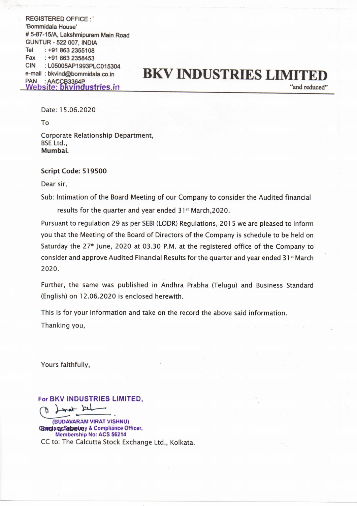REGISTERED OFFICE :\* 'Bommidala House' # 5-87-15/A, Lakshmipuram Main Road GUNTUR - 522 007, INDIA Tel : +91 863 2355108 Fax :+91 863 2358453 CIN : LO5005AP1993PLC015304

## e-mail : bkvind@bommidala.co.in BKV INDUSTRIES LIMITED Webs sg bkvindustries i n ———

Date: 15.06.2020

To

Corporate Relationship Department, BSE Ltd., Mumbai.

## Script Code: 519500

Dear sir,

Sub: Intimation of the Board Meeting of our Company to consider the Audited financial

results for the quarter and year ended 31% March,2020.

Pursuant to regulation 29 as per SEBI (LODR) Regulations, 2015 we are pleased to inform you that the Meeting of the Board of Directors of the Company is schedule to be held on Saturday the 27" June, 2020 at 03.30 P.M. at the registered office of the Company to consider and approve Audited Financial Results for the quarter and year ended 31\* March 2020.

Further, the same was published in Andhra Prabha (Telugu) and Business Standard (English) on 12.06.2020 is enclosed herewith.

This is for your information and take on the record the above said information. Thanking you,

Yours faithfully,

For BKV INDUSTRIES LIMITED,

(BUDAVARAM VIRAT VISHNU) ConcharasSabretasy & Compliance Officer, Membership No: ACS 56214 CC to: The Calcutta Stock Exchange Ltd., Kolkata. Calcutta Sto<br>|-<br>|-